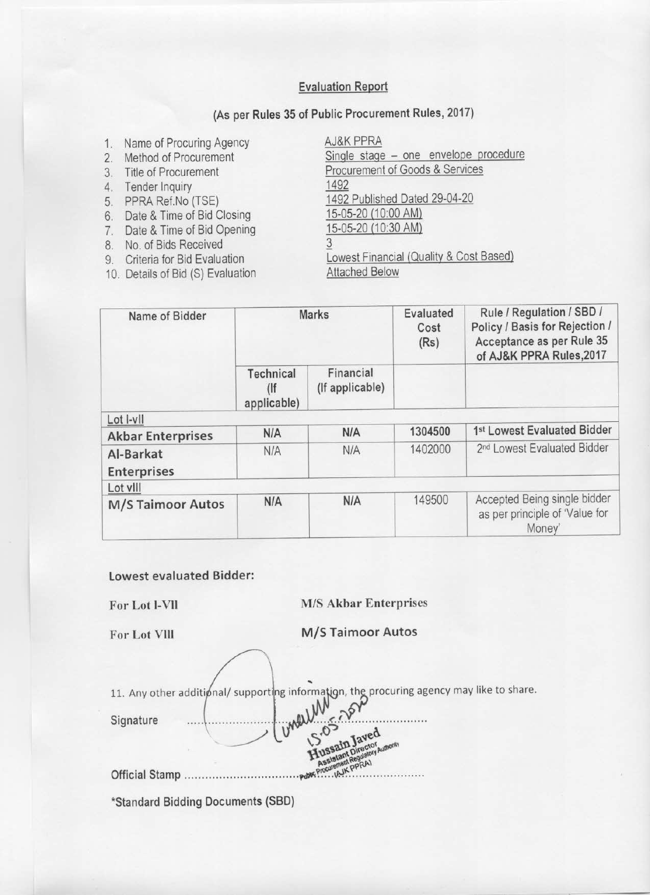#### **Evaluation Report**

#### (As per Rules 35 of Public Procurement Rules, 2017)

- 1. Name of Procuring Agency
- 2. Method of Procurement
- 3. Title of Procurement
- 4. Tender Inquiry
- 5. PPRA Ref.No (TSE)
- 6. Date & Time of Bid Closing
- 7. Date & Time of Bid Opening
- 8. No. of Bids Received
- 9. Criteria for Bid Evaluation
- 10. Details of Bid (S) Evaluation

AJ&K PPRA Single stage - one envelope procedure Procurement of Goods & Services 1492 1492 Published Dated 29-04-20 15-05-20 (10:00 AM) 15-05-20 (10:30 AM) 3 Lowest Financial (Quality & Cost Based) **Attached Below** 

| Name of Bidder                  |                               | <b>Marks</b>                 |         | Rule / Regulation / SBD /<br>Policy / Basis for Rejection /<br>Acceptance as per Rule 35<br>of AJ&K PPRA Rules, 2017 |
|---------------------------------|-------------------------------|------------------------------|---------|----------------------------------------------------------------------------------------------------------------------|
|                                 | Technical<br>(<br>applicable) | Financial<br>(If applicable) |         |                                                                                                                      |
| Lot I-vII                       |                               |                              |         |                                                                                                                      |
| <b>Akbar Enterprises</b>        | <b>N/A</b>                    | N/A                          | 1304500 | 1st Lowest Evaluated Bidder                                                                                          |
| Al-Barkat<br><b>Enterprises</b> | N/A                           | <b>N/A</b>                   | 1402000 | 2 <sup>nd</sup> Lowest Evaluated Bidder                                                                              |
| Lot vill                        |                               |                              |         |                                                                                                                      |
| <b>M/S Taimoor Autos</b>        | N/A                           | <b>N/A</b>                   | 149500  | Accepted Being single bidder<br>as per principle of 'Value for<br>Money'                                             |

**Lowest evaluated Bidder:** 

For Lot I-VII

#### **M/S Akbar Enterprises**

For Lot VIII

**M/S Taimoor Autos** 

11. Any other additional/ supporting information, the procuring agency may like to share. unewith Signature and. Official Stamp .........

\*Standard Bidding Documents (SBD)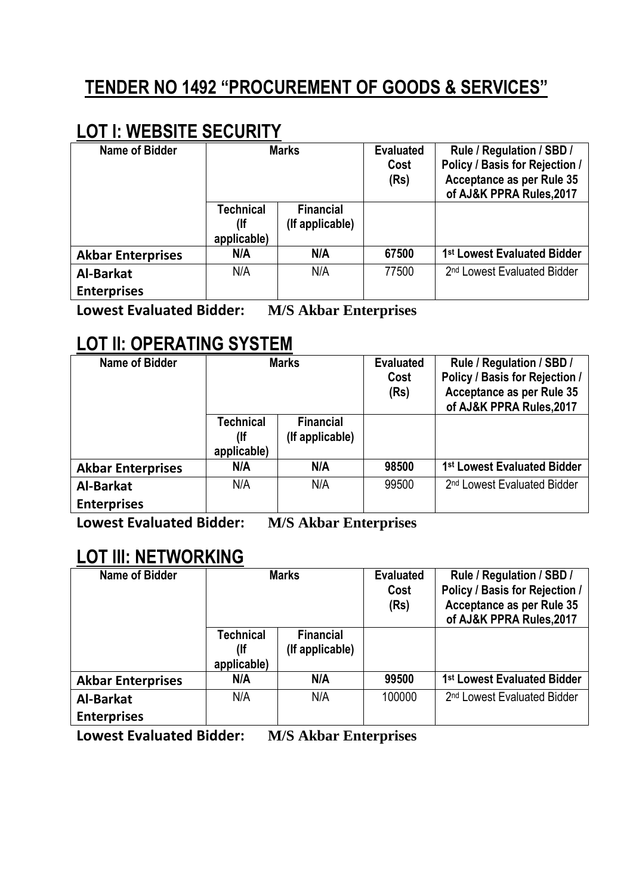# **TENDER NO 1492 "PROCUREMENT OF GOODS & SERVICES"**

## **LOT l: WEBSITE SECURITY**

| <b>Name of Bidder</b>    | <b>Marks</b><br><b>Financial</b><br><b>Technical</b><br>(If applicable)<br>(lf<br>applicable) |     | <b>Evaluated</b><br>Cost<br>(Rs) | Rule / Regulation / SBD /<br>Policy / Basis for Rejection /<br>Acceptance as per Rule 35<br>of AJ&K PPRA Rules, 2017 |
|--------------------------|-----------------------------------------------------------------------------------------------|-----|----------------------------------|----------------------------------------------------------------------------------------------------------------------|
|                          |                                                                                               |     |                                  |                                                                                                                      |
| <b>Akbar Enterprises</b> | N/A                                                                                           | N/A | 67500                            | 1 <sup>st</sup> Lowest Evaluated Bidder                                                                              |
| <b>Al-Barkat</b>         | N/A                                                                                           | N/A | 77500                            | 2 <sup>nd</sup> Lowest Evaluated Bidder                                                                              |
| <b>Enterprises</b>       |                                                                                               |     |                                  |                                                                                                                      |

**Lowest Evaluated Bidder: M/S Akbar Enterprises**

## **LOT ll: OPERATING SYSTEM**

| <b>Name of Bidder</b>    | <b>Marks</b><br><b>Technical</b><br><b>Financial</b><br>(If applicable)<br>(lf<br>applicable) |     | <b>Evaluated</b><br>Cost<br>(Rs) | Rule / Regulation / SBD /<br>Policy / Basis for Rejection /<br>Acceptance as per Rule 35<br>of AJ&K PPRA Rules, 2017 |
|--------------------------|-----------------------------------------------------------------------------------------------|-----|----------------------------------|----------------------------------------------------------------------------------------------------------------------|
|                          |                                                                                               |     |                                  |                                                                                                                      |
| <b>Akbar Enterprises</b> | N/A                                                                                           | N/A | 98500                            | 1 <sup>st</sup> Lowest Evaluated Bidder                                                                              |
| Al-Barkat                | N/A                                                                                           | N/A | 99500                            | 2 <sup>nd</sup> Lowest Evaluated Bidder                                                                              |
| <b>Enterprises</b>       |                                                                                               |     |                                  |                                                                                                                      |

**Lowest Evaluated Bidder: M/S Akbar Enterprises**

### **LOT lll: NETWORKING**

| <b>Name of Bidder</b>    | <b>Marks</b><br><b>Technical</b><br><b>Financial</b><br>(If applicable)<br>$($ lf<br>applicable) |     | <b>Evaluated</b><br>Cost<br>(Rs) | Rule / Regulation / SBD /<br>Policy / Basis for Rejection /<br>Acceptance as per Rule 35<br>of AJ&K PPRA Rules, 2017 |
|--------------------------|--------------------------------------------------------------------------------------------------|-----|----------------------------------|----------------------------------------------------------------------------------------------------------------------|
|                          |                                                                                                  |     |                                  |                                                                                                                      |
| <b>Akbar Enterprises</b> | N/A                                                                                              | N/A | 99500                            | 1 <sup>st</sup> Lowest Evaluated Bidder                                                                              |
| <b>Al-Barkat</b>         | N/A                                                                                              | N/A | 100000                           | 2 <sup>nd</sup> Lowest Evaluated Bidder                                                                              |
| <b>Enterprises</b>       |                                                                                                  |     |                                  |                                                                                                                      |

**Lowest Evaluated Bidder: M/S Akbar Enterprises**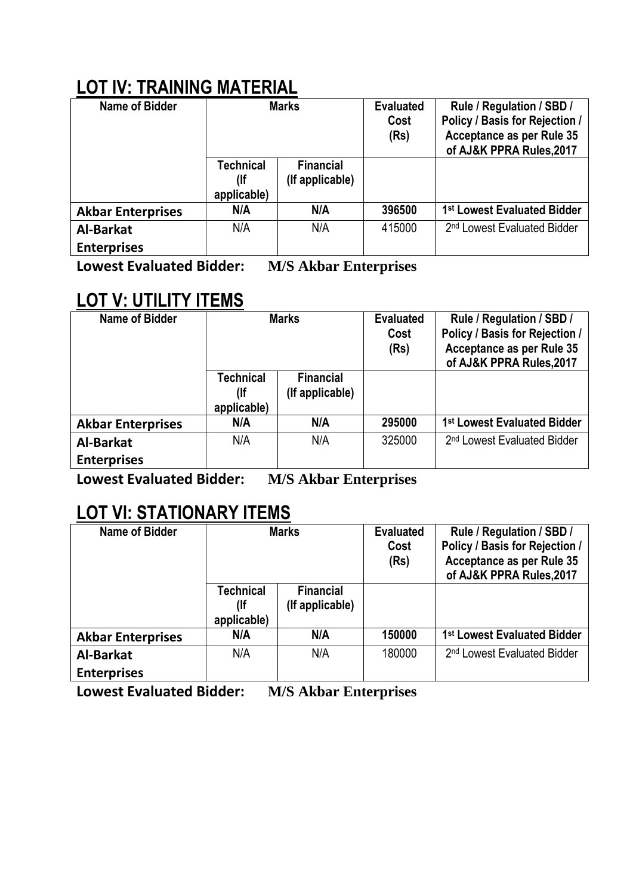# **LOT lV: TRAINING MATERIAL**

| <b>Name of Bidder</b>    | <b>Marks</b><br><b>Technical</b><br><b>Financial</b><br>(If applicable)<br>$($ lf<br>applicable) |     | <b>Evaluated</b><br>Cost<br>(Rs) | Rule / Regulation / SBD /<br>Policy / Basis for Rejection /<br>Acceptance as per Rule 35<br>of AJ&K PPRA Rules, 2017 |
|--------------------------|--------------------------------------------------------------------------------------------------|-----|----------------------------------|----------------------------------------------------------------------------------------------------------------------|
|                          |                                                                                                  |     |                                  |                                                                                                                      |
| <b>Akbar Enterprises</b> | N/A                                                                                              | N/A | 396500                           | 1st Lowest Evaluated Bidder                                                                                          |
| <b>Al-Barkat</b>         | N/A                                                                                              | N/A | 415000                           | 2 <sup>nd</sup> Lowest Evaluated Bidder                                                                              |
| <b>Enterprises</b>       |                                                                                                  |     |                                  |                                                                                                                      |

**Lowest Evaluated Bidder: M/S Akbar Enterprises**

## **LOT V: UTILITY ITEMS**

| <b>Name of Bidder</b>    | <b>Marks</b><br><b>Technical</b><br><b>Financial</b><br>(lf<br>(If applicable)<br>applicable) |     | <b>Evaluated</b><br>Cost<br>(Rs) | Rule / Regulation / SBD /<br>Policy / Basis for Rejection /<br>Acceptance as per Rule 35<br>of AJ&K PPRA Rules, 2017 |
|--------------------------|-----------------------------------------------------------------------------------------------|-----|----------------------------------|----------------------------------------------------------------------------------------------------------------------|
|                          |                                                                                               |     |                                  |                                                                                                                      |
| <b>Akbar Enterprises</b> | N/A                                                                                           | N/A | 295000                           | 1 <sup>st</sup> Lowest Evaluated Bidder                                                                              |
| <b>Al-Barkat</b>         | N/A                                                                                           | N/A | 325000                           | 2 <sup>nd</sup> Lowest Evaluated Bidder                                                                              |
| <b>Enterprises</b>       |                                                                                               |     |                                  |                                                                                                                      |

**Lowest Evaluated Bidder: M/S Akbar Enterprises**

## **LOT Vl: STATIONARY ITEMS**

| <b>Name of Bidder</b>    | <b>Marks</b><br><b>Technical</b><br><b>Financial</b><br>(If applicable)<br>(lf<br>applicable) |     | <b>Evaluated</b><br>Cost<br>(Rs) | Rule / Regulation / SBD /<br>Policy / Basis for Rejection /<br>Acceptance as per Rule 35<br>of AJ&K PPRA Rules, 2017 |
|--------------------------|-----------------------------------------------------------------------------------------------|-----|----------------------------------|----------------------------------------------------------------------------------------------------------------------|
|                          |                                                                                               |     |                                  |                                                                                                                      |
| <b>Akbar Enterprises</b> | N/A                                                                                           | N/A | 150000                           | 1 <sup>st</sup> Lowest Evaluated Bidder                                                                              |
| <b>Al-Barkat</b>         | N/A                                                                                           | N/A | 180000                           | 2 <sup>nd</sup> Lowest Evaluated Bidder                                                                              |
| <b>Enterprises</b>       |                                                                                               |     |                                  |                                                                                                                      |

**Lowest Evaluated Bidder: M/S Akbar Enterprises**